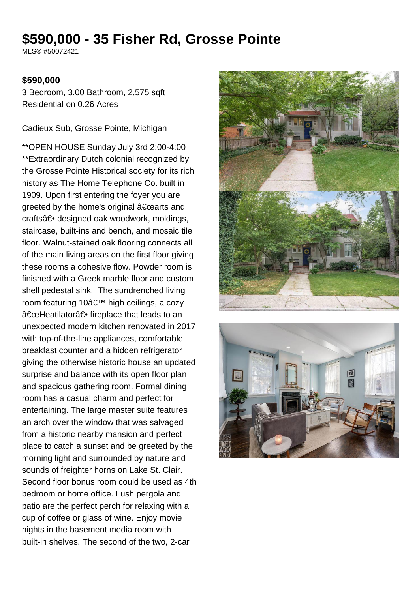# **\$590,000 - 35 Fisher Rd, Grosse Pointe**

MLS® #50072421

#### **\$590,000**

3 Bedroom, 3.00 Bathroom, 2,575 sqft Residential on 0.26 Acres

Cadieux Sub, Grosse Pointe, Michigan

\*\*OPEN HOUSE Sunday July 3rd 2:00-4:00 \*\*Extraordinary Dutch colonial recognized by the Grosse Pointe Historical society for its rich history as The Home Telephone Co. built in 1909. Upon first entering the foyer you are greeted by the home's original  $a \in \text{c}$  arts and crafts― designed oak woodwork, moldings, staircase, built-ins and bench, and mosaic tile floor. Walnut-stained oak flooring connects all of the main living areas on the first floor giving these rooms a cohesive flow. Powder room is finished with a Greek marble floor and custom shell pedestal sink. The sundrenched living room featuring 10' high ceilings, a cozy "Heatilator― fireplace that leads to an unexpected modern kitchen renovated in 2017 with top-of-the-line appliances, comfortable breakfast counter and a hidden refrigerator giving the otherwise historic house an updated surprise and balance with its open floor plan and spacious gathering room. Formal dining room has a casual charm and perfect for entertaining. The large master suite features an arch over the window that was salvaged from a historic nearby mansion and perfect place to catch a sunset and be greeted by the morning light and surrounded by nature and sounds of freighter horns on Lake St. Clair. Second floor bonus room could be used as 4th bedroom or home office. Lush pergola and patio are the perfect perch for relaxing with a cup of coffee or glass of wine. Enjoy movie nights in the basement media room with built-in shelves. The second of the two, 2-car



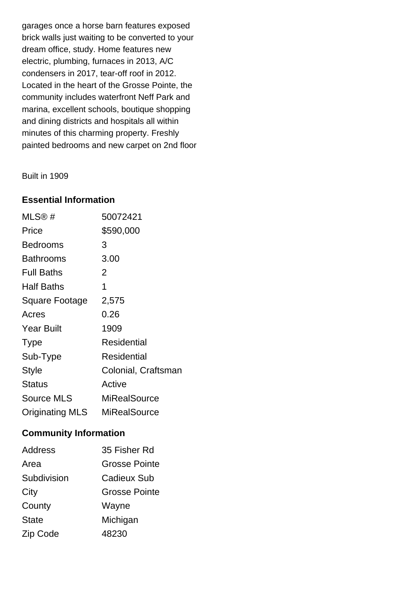garages once a horse barn features exposed brick walls just waiting to be converted to your dream office, study. Home features new electric, plumbing, furnaces in 2013, A/C condensers in 2017, tear-off roof in 2012. Located in the heart of the Grosse Pointe, the community includes waterfront Neff Park and marina, excellent schools, boutique shopping and dining districts and hospitals all within minutes of this charming property. Freshly painted bedrooms and new carpet on 2nd floor

Built in 1909

# **Essential Information**

| $MLS@$ #               | 50072421            |
|------------------------|---------------------|
| Price                  | \$590,000           |
| Bedrooms               | 3                   |
| Bathrooms              | 3.00                |
| <b>Full Baths</b>      | 2                   |
| <b>Half Baths</b>      | 1                   |
| Square Footage         | 2,575               |
| Acres                  | 0.26                |
| <b>Year Built</b>      | 1909                |
| Type                   | Residential         |
| Sub-Type               | Residential         |
| Style                  | Colonial, Craftsman |
| Status                 | Active              |
| <b>Source MLS</b>      | MiRealSource        |
| <b>Originating MLS</b> | MiRealSource        |

# **Community Information**

| <b>Address</b> | 35 Fisher Rd         |
|----------------|----------------------|
| Area           | <b>Grosse Pointe</b> |
| Subdivision    | Cadieux Sub          |
| City           | <b>Grosse Pointe</b> |
| County         | Wayne                |
| <b>State</b>   | Michigan             |
| Zip Code       | 48230                |